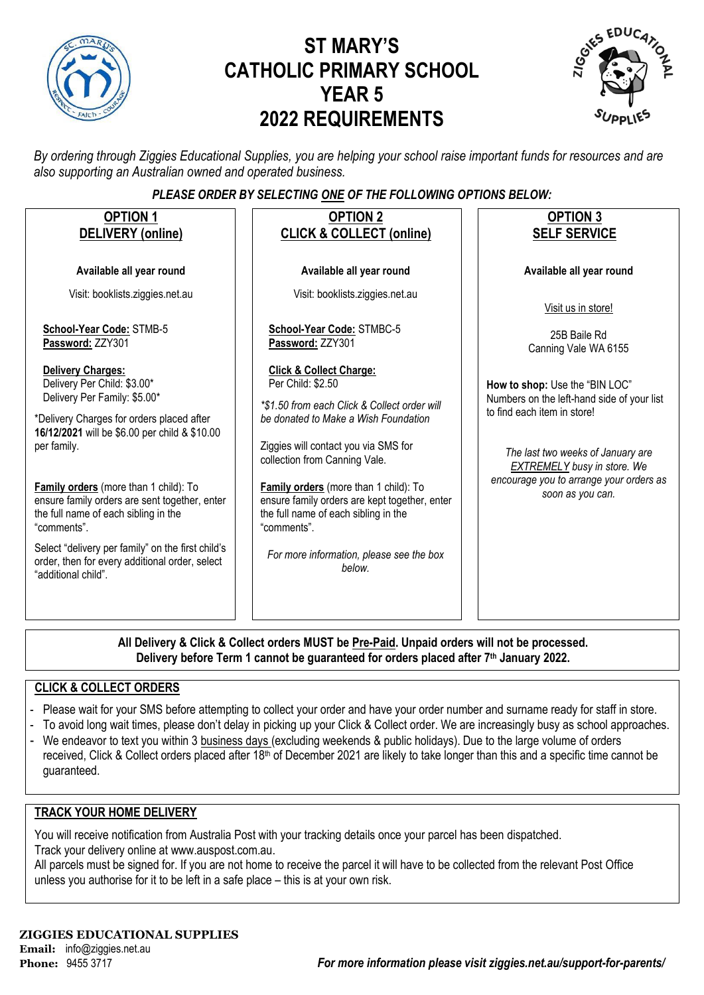

# **ST MARY'S CATHOLIC PRIMARY SCHOOL YEAR 5 2022 REQUIREMENTS**



*By ordering through Ziggies Educational Supplies, you are helping your school raise important funds for resources and are also supporting an Australian owned and operated business.*

### *PLEASE ORDER BY SELECTING ONE OF THE FOLLOWING OPTIONS BELOW:*

| <b>OPTION 1</b><br><b>DELIVERY</b> (online)                                                                                                                                                                                                                                 | <b>OPTION 2</b><br><b>CLICK &amp; COLLECT (online)</b>                                                                                                                                                                   | <b>OPTION 3</b><br><b>SELF SERVICE</b>                                                                                                                                                 |
|-----------------------------------------------------------------------------------------------------------------------------------------------------------------------------------------------------------------------------------------------------------------------------|--------------------------------------------------------------------------------------------------------------------------------------------------------------------------------------------------------------------------|----------------------------------------------------------------------------------------------------------------------------------------------------------------------------------------|
| Available all year round                                                                                                                                                                                                                                                    | Available all year round                                                                                                                                                                                                 | Available all year round                                                                                                                                                               |
| Visit: booklists.ziggies.net.au                                                                                                                                                                                                                                             | Visit: booklists.ziggies.net.au                                                                                                                                                                                          | Visit us in store!                                                                                                                                                                     |
| School-Year Code: STMB-5<br>Password: ZZY301                                                                                                                                                                                                                                | School-Year Code: STMBC-5<br>Password: ZZY301                                                                                                                                                                            | 25B Baile Rd<br>Canning Vale WA 6155                                                                                                                                                   |
| <b>Delivery Charges:</b><br>Delivery Per Child: \$3.00*<br>Delivery Per Family: \$5.00*<br>*Delivery Charges for orders placed after<br>16/12/2021 will be \$6.00 per child & \$10.00<br>per family.                                                                        | <b>Click &amp; Collect Charge:</b><br>Per Child: \$2.50<br>*\$1.50 from each Click & Collect order will<br>be donated to Make a Wish Foundation<br>Ziggies will contact you via SMS for<br>collection from Canning Vale. | How to shop: Use the "BIN LOC"<br>Numbers on the left-hand side of your list<br>to find each item in store!<br>The last two weeks of January are<br><b>EXTREMELY</b> busy in store. We |
| Family orders (more than 1 child): To<br>ensure family orders are sent together, enter<br>the full name of each sibling in the<br>"comments".<br>Select "delivery per family" on the first child's<br>order, then for every additional order, select<br>"additional child". | Family orders (more than 1 child): To<br>ensure family orders are kept together, enter<br>the full name of each sibling in the<br>"comments".<br>For more information, please see the box<br>helow.                      | encourage you to arrange your orders as<br>soon as you can.                                                                                                                            |
|                                                                                                                                                                                                                                                                             |                                                                                                                                                                                                                          |                                                                                                                                                                                        |

**All Delivery & Click & Collect orders MUST be Pre-Paid. Unpaid orders will not be processed. Delivery before Term 1 cannot be guaranteed for orders placed after 7th January 2022.**

#### **CLICK & COLLECT ORDERS**

- Please wait for your SMS before attempting to collect your order and have your order number and surname ready for staff in store.
- To avoid long wait times, please don't delay in picking up your Click & Collect order. We are increasingly busy as school approaches.
- We endeavor to text you within 3 business days (excluding weekends & public holidays). Due to the large volume of orders received, Click & Collect orders placed after 18<sup>th</sup> of December 2021 are likely to take longer than this and a specific time cannot be guaranteed.

#### **TRACK YOUR HOME DELIVERY**

You will receive notification from Australia Post with your tracking details once your parcel has been dispatched. Track your delivery online a[t www.auspost.com.au.](http://www.auspost.com.au/)

All parcels must be signed for. If you are not home to receive the parcel it will have to be collected from the relevant Post Office unless you authorise for it to be left in a safe place – this is at your own risk.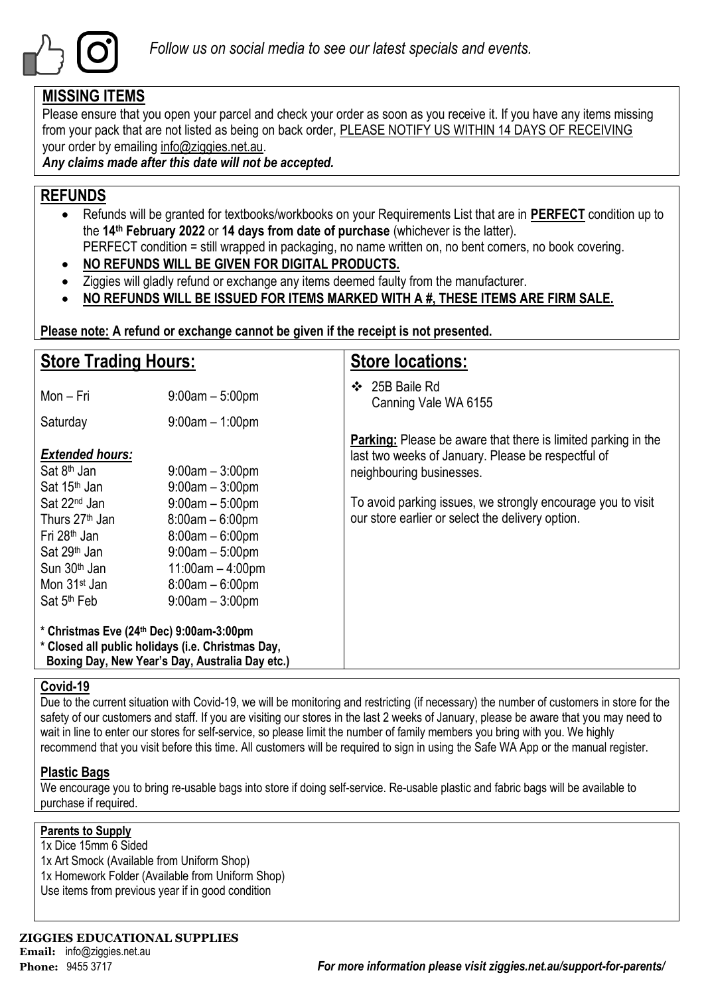

### **MISSING ITEMS**

Please ensure that you open your parcel and check your order as soon as you receive it. If you have any items missing from your pack that are not listed as being on back order, PLEASE NOTIFY US WITHIN 14 DAYS OF RECEIVING your order by emailing info@ziggies.net.au.

*Any claims made after this date will not be accepted.*

## **REFUNDS**

- Refunds will be granted for textbooks/workbooks on your Requirements List that are in **PERFECT** condition up to the **14th February 2022** or **14 days from date of purchase** (whichever is the latter). PERFECT condition = still wrapped in packaging, no name written on, no bent corners, no book covering.
- **NO REFUNDS WILL BE GIVEN FOR DIGITAL PRODUCTS.**
- Ziggies will gladly refund or exchange any items deemed faulty from the manufacturer.
- **NO REFUNDS WILL BE ISSUED FOR ITEMS MARKED WITH A #, THESE ITEMS ARE FIRM SALE.**

**Please note: A refund or exchange cannot be given if the receipt is not presented.**

| <b>Store Trading Hours:</b>                                                                                                                                                                       |                                                                                                                                                  | <b>Store locations:</b>                                                                                                                                |  |  |  |
|---------------------------------------------------------------------------------------------------------------------------------------------------------------------------------------------------|--------------------------------------------------------------------------------------------------------------------------------------------------|--------------------------------------------------------------------------------------------------------------------------------------------------------|--|--|--|
| Mon - Fri                                                                                                                                                                                         | $9:00am - 5:00pm$                                                                                                                                | 25B Baile Rd<br>❖<br>Canning Vale WA 6155                                                                                                              |  |  |  |
| Saturday                                                                                                                                                                                          | $9:00am - 1:00pm$                                                                                                                                |                                                                                                                                                        |  |  |  |
| <b>Extended hours:</b><br>Sat 8 <sup>th</sup> Jan<br>Sat 15 <sup>th</sup> Jan                                                                                                                     | $9:00$ am $-3:00$ pm<br>$9:00am - 3:00pm$                                                                                                        | <b>Parking:</b> Please be aware that there is limited parking in the<br>last two weeks of January. Please be respectful of<br>neighbouring businesses. |  |  |  |
| Sat 22 <sup>nd</sup> Jan<br>Thurs 27 <sup>th</sup> Jan<br>Fri 28 <sup>th</sup> Jan<br>Sat 29 <sup>th</sup> Jan<br>Sun 30 <sup>th</sup> Jan<br>Mon 31 <sup>st</sup> Jan<br>Sat 5 <sup>th</sup> Feb | $9:00am - 5:00pm$<br>$8:00am - 6:00pm$<br>$8:00am - 6:00pm$<br>$9:00am - 5:00pm$<br>$11:00am - 4:00pm$<br>$8:00am - 6:00pm$<br>$9:00am - 3:00pm$ | To avoid parking issues, we strongly encourage you to visit<br>our store earlier or select the delivery option.                                        |  |  |  |
| * Christmas Eve (24th Dec) 9:00am-3:00pm<br>* Closed all public holidays (i.e. Christmas Day,                                                                                                     | Boxing Day, New Year's Day, Australia Day etc.)                                                                                                  |                                                                                                                                                        |  |  |  |

#### **Covid-19**

Due to the current situation with Covid-19, we will be monitoring and restricting (if necessary) the number of customers in store for the safety of our customers and staff. If you are visiting our stores in the last 2 weeks of January, please be aware that you may need to wait in line to enter our stores for self-service, so please limit the number of family members you bring with you. We highly recommend that you visit before this time. All customers will be required to sign in using the Safe WA App or the manual register.

### **Plastic Bags**

We encourage you to bring re-usable bags into store if doing self-service. Re-usable plastic and fabric bags will be available to purchase if required.

#### **Parents to Supply**

- 1x Dice 15mm 6 Sided
- 1x Art Smock (Available from Uniform Shop) 1x Homework Folder (Available from Uniform Shop)
- 
- Use items from previous year if in good condition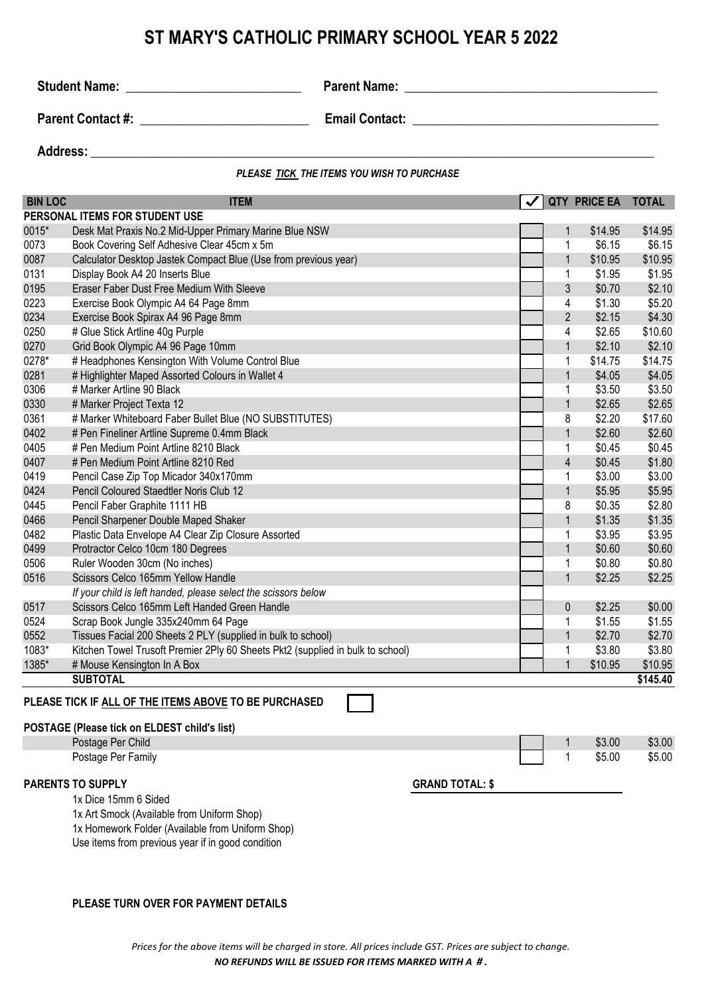## **ST MARY'S CATHOLIC PRIMARY SCHOOL YEAR 5 2022**

**Student Name:** \_\_\_\_\_\_\_\_\_\_\_\_\_\_\_\_\_\_\_\_\_\_\_\_\_\_\_ **Parent Name: \_\_\_\_\_\_\_\_\_\_\_\_\_\_\_\_\_\_\_\_\_\_\_\_\_\_\_\_\_\_\_\_\_\_\_\_\_\_\_**

**Parent Contact #:**  $\qquad \qquad$  **Email Contact:**  $\qquad \qquad$ 

Address: **with a set of the set of the set of the set of the set of the set of the set of the set of the set of the set of the set of the set of the set of the set of the set of the set of the set of the set of the set of** 

*PLEASE TICK THE ITEMS YOU WISH TO PURCHASE*

| <b>BIN LOC</b>                                                                                               | <b>ITEM</b>                                                                    |  |                | QTY PRICE EA TOTAL |          |  |
|--------------------------------------------------------------------------------------------------------------|--------------------------------------------------------------------------------|--|----------------|--------------------|----------|--|
|                                                                                                              | PERSONAL ITEMS FOR STUDENT USE                                                 |  |                |                    |          |  |
| 0015*                                                                                                        | Desk Mat Praxis No.2 Mid-Upper Primary Marine Blue NSW                         |  | 1              | \$14.95            | \$14.95  |  |
| 0073                                                                                                         | Book Covering Self Adhesive Clear 45cm x 5m                                    |  | 1              | \$6.15             | \$6.15   |  |
| 0087                                                                                                         | Calculator Desktop Jastek Compact Blue (Use from previous year)                |  | $\mathbf{1}$   | \$10.95            | \$10.95  |  |
| 0131                                                                                                         | Display Book A4 20 Inserts Blue                                                |  | 1              | \$1.95             | \$1.95   |  |
| 0195                                                                                                         | Eraser Faber Dust Free Medium With Sleeve                                      |  | 3              | \$0.70             | \$2.10   |  |
| 0223                                                                                                         | Exercise Book Olympic A4 64 Page 8mm                                           |  | 4              | \$1.30             | \$5.20   |  |
| 0234                                                                                                         | Exercise Book Spirax A4 96 Page 8mm                                            |  | $\overline{2}$ | \$2.15             | \$4.30   |  |
| 0250                                                                                                         | # Glue Stick Artline 40g Purple                                                |  | 4              | \$2.65             | \$10.60  |  |
| 0270                                                                                                         | Grid Book Olympic A4 96 Page 10mm                                              |  | $\mathbf{1}$   | \$2.10             | \$2.10   |  |
| 0278*                                                                                                        | # Headphones Kensington With Volume Control Blue                               |  | 1              | \$14.75            | \$14.75  |  |
| 0281                                                                                                         | # Highlighter Maped Assorted Colours in Wallet 4                               |  | $\mathbf{1}$   | \$4.05             | \$4.05   |  |
| 0306                                                                                                         | # Marker Artline 90 Black                                                      |  | 1              | \$3.50             | \$3.50   |  |
| 0330                                                                                                         | # Marker Project Texta 12                                                      |  | $\mathbf{1}$   | \$2.65             | \$2.65   |  |
| 0361                                                                                                         | # Marker Whiteboard Faber Bullet Blue (NO SUBSTITUTES)                         |  | 8              | \$2.20             | \$17.60  |  |
| 0402                                                                                                         | # Pen Fineliner Artline Supreme 0.4mm Black                                    |  | $\mathbf{1}$   | \$2.60             | \$2.60   |  |
| 0405                                                                                                         | # Pen Medium Point Artline 8210 Black                                          |  | 1              | \$0.45             | \$0.45   |  |
| 0407                                                                                                         | # Pen Medium Point Artline 8210 Red                                            |  | $\overline{4}$ | \$0.45             | \$1.80   |  |
| 0419                                                                                                         | Pencil Case Zip Top Micador 340x170mm                                          |  | 1              | \$3.00             | \$3.00   |  |
| 0424                                                                                                         | Pencil Coloured Staedtler Noris Club 12                                        |  | $\mathbf{1}$   | \$5.95             | \$5.95   |  |
| 0445                                                                                                         | Pencil Faber Graphite 1111 HB                                                  |  |                | \$0.35             | \$2.80   |  |
| 0466                                                                                                         | Pencil Sharpener Double Maped Shaker                                           |  | $\mathbf{1}$   | \$1.35             | \$1.35   |  |
| 0482                                                                                                         | Plastic Data Envelope A4 Clear Zip Closure Assorted                            |  | 1              | \$3.95             | \$3.95   |  |
| 0499                                                                                                         | Protractor Celco 10cm 180 Degrees                                              |  | $\mathbf{1}$   | \$0.60             | \$0.60   |  |
| 0506                                                                                                         | Ruler Wooden 30cm (No inches)                                                  |  | 1              | \$0.80             | \$0.80   |  |
| 0516                                                                                                         | Scissors Celco 165mm Yellow Handle                                             |  |                |                    | \$2.25   |  |
|                                                                                                              | If your child is left handed, please select the scissors below                 |  |                |                    |          |  |
| 0517                                                                                                         | Scissors Celco 165mm Left Handed Green Handle                                  |  | $\mathbf 0$    | \$2.25             | \$0.00   |  |
| 0524                                                                                                         | Scrap Book Jungle 335x240mm 64 Page                                            |  | 1              | \$1.55             | \$1.55   |  |
| 0552                                                                                                         | Tissues Facial 200 Sheets 2 PLY (supplied in bulk to school)                   |  | $\mathbf{1}$   | \$2.70             | \$2.70   |  |
| 1083*                                                                                                        | Kitchen Towel Trusoft Premier 2Ply 60 Sheets Pkt2 (supplied in bulk to school) |  | 1              | \$3.80             | \$3.80   |  |
| 1385*                                                                                                        | # Mouse Kensington In A Box                                                    |  | $\overline{1}$ | \$10.95            | \$10.95  |  |
|                                                                                                              | <b>SUBTOTAL</b>                                                                |  |                |                    | \$145.40 |  |
| PLEASE TICK IF ALL OF THE ITEMS ABOVE TO BE PURCHASED<br><b>POSTAGE (Please tick on ELDEST child's list)</b> |                                                                                |  |                |                    |          |  |

#### Postage Per Child \$3.00 \$3.00

Postage Per Family 35.00 \$5.00 \$5.00 \$5.00 \$5.00 \$5.00 \$5.00 \$5.00 \$5.00 \$5.00 \$5.00 \$5.00 \$5.00 \$5.00 \$5.00 \$5.00 \$5.00 \$5.00 \$5.00 \$5.00 \$5.00 \$5.00 \$5.00 \$5.00 \$5.00 \$5.00 \$5.00 \$5.00 \$5.00 \$5.00 \$5.00 \$5.00 \$5.00 \$5.00

#### **PARENTS TO SUPPLY GRAND TOTAL: \$**

1x Dice 15mm 6 Sided

1x Art Smock (Available from Uniform Shop)

1x Homework Folder (Available from Uniform Shop)

Use items from previous year if in good condition

#### **PLEASE TURN OVER FOR PAYMENT DETAILS**

*Prices for the above items will be charged in store. All prices include GST. Prices are subject to change. NO REFUNDS WILL BE ISSUED FOR ITEMS MARKED WITH A # .*